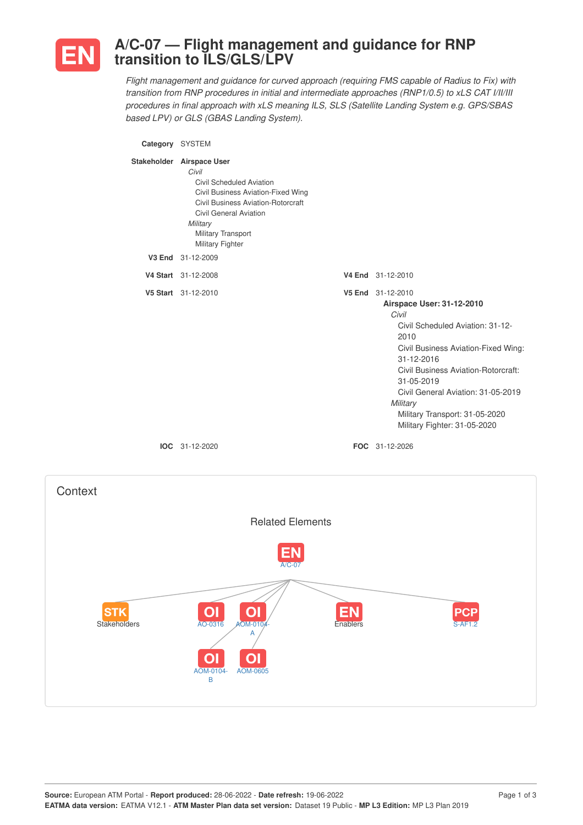

**Context** 

## **A/C-07 — Flight management and guidance for RNP transition to ILS/GLS/LPV**

*Flight management and guidance for curved approach (requiring FMS capable of Radius to Fix) with transition from RNP procedures in initial and intermediate approaches (RNP1/0.5) to xLS CAT I/II/III procedures in final approach with xLS meaning ILS, SLS (Satellite Landing System e.g. GPS/SBAS based LPV) or GLS (GBAS Landing System).*

**Category** SYSTEM **Stakeholder Airspace User** *Civil* Civil Scheduled Aviation Civil Business Aviation-Fixed Wing Civil Business Aviation-Rotorcraft Civil General Aviation *Military* Military Transport Military Fighter **V3 End** 31-12-2009 **V4 Start** 31-12-2008 **V4 End** 31-12-2010 **V5 Start** 31-12-2010 **V5 End** 31-12-2010 **Airspace User: 31-12-2010** *Civil* Civil Scheduled Aviation: 31-12- 2010 Civil Business Aviation-Fixed Wing: 31-12-2016 Civil Business Aviation-Rotorcraft: 31-05-2019 Civil General Aviation: 31-05-2019 *Military* Military Transport: 31-05-2020 Military Fighter: 31-05-2020 **IOC** 31-12-2020 **FOC** 31-12-2026

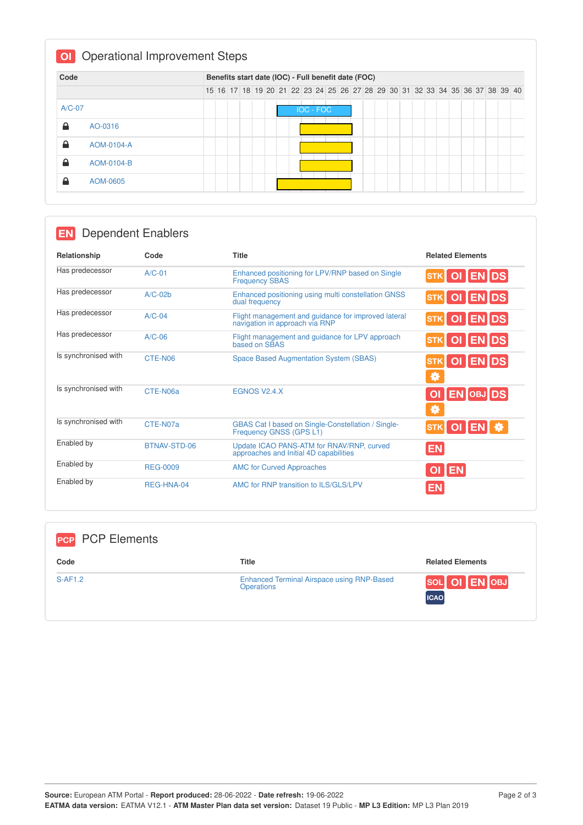| Code     |            | Benefits start date (IOC) - Full benefit date (FOC) |  |  |  |  |  |  |  |                                                                               |                  |  |  |  |  |  |  |  |  |  |  |  |
|----------|------------|-----------------------------------------------------|--|--|--|--|--|--|--|-------------------------------------------------------------------------------|------------------|--|--|--|--|--|--|--|--|--|--|--|
|          |            |                                                     |  |  |  |  |  |  |  | 15 16 17 18 19 20 21 22 23 24 25 26 27 28 29 30 31 32 33 34 35 36 37 38 39 40 |                  |  |  |  |  |  |  |  |  |  |  |  |
| $A/C-07$ |            |                                                     |  |  |  |  |  |  |  |                                                                               | <b>IOC - FOC</b> |  |  |  |  |  |  |  |  |  |  |  |
| 숌        | AO-0316    |                                                     |  |  |  |  |  |  |  |                                                                               |                  |  |  |  |  |  |  |  |  |  |  |  |
| 숌        | AOM-0104-A |                                                     |  |  |  |  |  |  |  |                                                                               |                  |  |  |  |  |  |  |  |  |  |  |  |
| ≙        | AOM-0104-B |                                                     |  |  |  |  |  |  |  |                                                                               |                  |  |  |  |  |  |  |  |  |  |  |  |
| 숌        | AOM-0605   |                                                     |  |  |  |  |  |  |  |                                                                               |                  |  |  |  |  |  |  |  |  |  |  |  |

|                      | <b>Dependent Enablers</b> |                                                                                       |                                    |
|----------------------|---------------------------|---------------------------------------------------------------------------------------|------------------------------------|
| Relationship         | Code                      | <b>Title</b>                                                                          | <b>Related Elements</b>            |
| Has predecessor      | $A/C-01$                  | Enhanced positioning for LPV/RNP based on Single<br><b>Frequency SBAS</b>             | OI ENDS                            |
| Has predecessor      | $A/C-02b$                 | Enhanced positioning using multi constellation GNSS<br>dual frequency                 | STK OI ENDS                        |
| Has predecessor      | $A/C-04$                  | Flight management and guidance for improved lateral<br>navigation in approach via RNP | OI ENDS                            |
| Has predecessor      | $A/C-06$                  | Flight management and guidance for LPV approach<br>based on SBAS                      | OI ENDS                            |
| Is synchronised with | CTE-N06                   | <b>Space Based Augmentation System (SBAS)</b>                                         | OI ENDS<br>券                       |
| Is synchronised with | CTE-N06a                  | EGNOS V <sub>2.4</sub> .X                                                             | <b>EN OBJ DS</b><br><b>OI</b><br>₩ |
| Is synchronised with | CTE-N07a                  | <b>GBAS Cat I based on Single-Constellation / Single-</b><br>Frequency GNSS (GPS L1)  | OI EN<br><b>STK</b>                |
| Enabled by           | BTNAV-STD-06              | Update ICAO PANS-ATM for RNAV/RNP, curved<br>approaches and Initial 4D capabilities   | <b>EN</b>                          |
| Enabled by           | <b>REG-0009</b>           | <b>AMC for Curved Approaches</b>                                                      | OI EN                              |
| Enabled by           | RFG-HNA-04                | AMC for RNP transition to ILS/GLS/LPV                                                 | EN                                 |

| <b>PCP</b> PCP Elements |                                                                        |                              |
|-------------------------|------------------------------------------------------------------------|------------------------------|
| Code                    | <b>Title</b>                                                           | <b>Related Elements</b>      |
| S-AF1.2                 | <b>Enhanced Terminal Airspace using RNP-Based</b><br><b>Operations</b> | SOL OI EN OBJ<br><b>ICAO</b> |